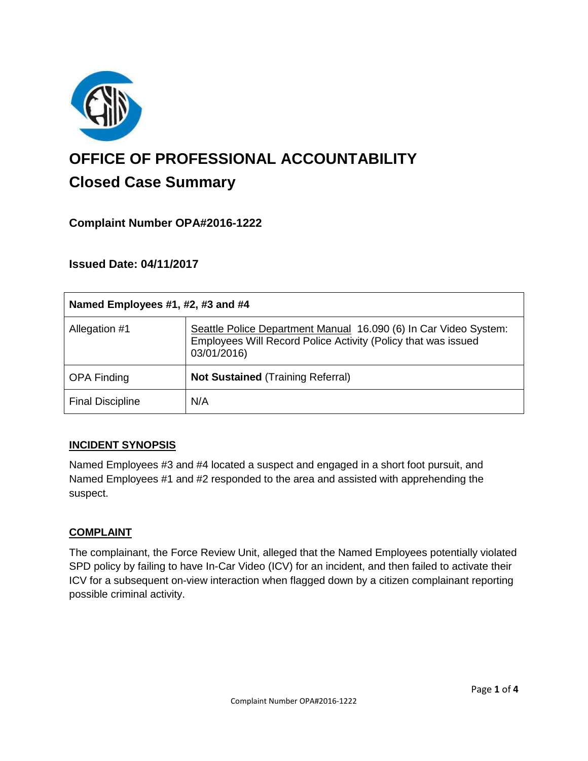

# **OFFICE OF PROFESSIONAL ACCOUNTABILITY Closed Case Summary**

## **Complaint Number OPA#2016-1222**

### **Issued Date: 04/11/2017**

| Named Employees #1, #2, #3 and #4 |                                                                                                                                                  |
|-----------------------------------|--------------------------------------------------------------------------------------------------------------------------------------------------|
| Allegation #1                     | Seattle Police Department Manual 16.090 (6) In Car Video System:<br>Employees Will Record Police Activity (Policy that was issued<br>03/01/2016) |
| <b>OPA Finding</b>                | <b>Not Sustained (Training Referral)</b>                                                                                                         |
| <b>Final Discipline</b>           | N/A                                                                                                                                              |

#### **INCIDENT SYNOPSIS**

Named Employees #3 and #4 located a suspect and engaged in a short foot pursuit, and Named Employees #1 and #2 responded to the area and assisted with apprehending the suspect.

#### **COMPLAINT**

The complainant, the Force Review Unit, alleged that the Named Employees potentially violated SPD policy by failing to have In-Car Video (ICV) for an incident, and then failed to activate their ICV for a subsequent on-view interaction when flagged down by a citizen complainant reporting possible criminal activity.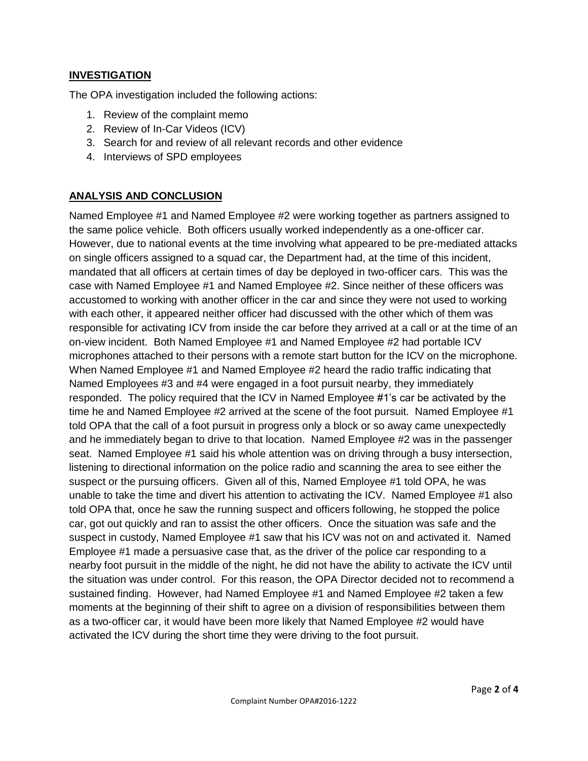#### **INVESTIGATION**

The OPA investigation included the following actions:

- 1. Review of the complaint memo
- 2. Review of In-Car Videos (ICV)
- 3. Search for and review of all relevant records and other evidence
- 4. Interviews of SPD employees

### **ANALYSIS AND CONCLUSION**

Named Employee #1 and Named Employee #2 were working together as partners assigned to the same police vehicle. Both officers usually worked independently as a one-officer car. However, due to national events at the time involving what appeared to be pre-mediated attacks on single officers assigned to a squad car, the Department had, at the time of this incident, mandated that all officers at certain times of day be deployed in two-officer cars. This was the case with Named Employee #1 and Named Employee #2. Since neither of these officers was accustomed to working with another officer in the car and since they were not used to working with each other, it appeared neither officer had discussed with the other which of them was responsible for activating ICV from inside the car before they arrived at a call or at the time of an on-view incident. Both Named Employee #1 and Named Employee #2 had portable ICV microphones attached to their persons with a remote start button for the ICV on the microphone. When Named Employee #1 and Named Employee #2 heard the radio traffic indicating that Named Employees #3 and #4 were engaged in a foot pursuit nearby, they immediately responded. The policy required that the ICV in Named Employee #1's car be activated by the time he and Named Employee #2 arrived at the scene of the foot pursuit. Named Employee #1 told OPA that the call of a foot pursuit in progress only a block or so away came unexpectedly and he immediately began to drive to that location. Named Employee #2 was in the passenger seat. Named Employee #1 said his whole attention was on driving through a busy intersection, listening to directional information on the police radio and scanning the area to see either the suspect or the pursuing officers. Given all of this, Named Employee #1 told OPA, he was unable to take the time and divert his attention to activating the ICV. Named Employee #1 also told OPA that, once he saw the running suspect and officers following, he stopped the police car, got out quickly and ran to assist the other officers. Once the situation was safe and the suspect in custody, Named Employee #1 saw that his ICV was not on and activated it. Named Employee #1 made a persuasive case that, as the driver of the police car responding to a nearby foot pursuit in the middle of the night, he did not have the ability to activate the ICV until the situation was under control. For this reason, the OPA Director decided not to recommend a sustained finding. However, had Named Employee #1 and Named Employee #2 taken a few moments at the beginning of their shift to agree on a division of responsibilities between them as a two-officer car, it would have been more likely that Named Employee #2 would have activated the ICV during the short time they were driving to the foot pursuit.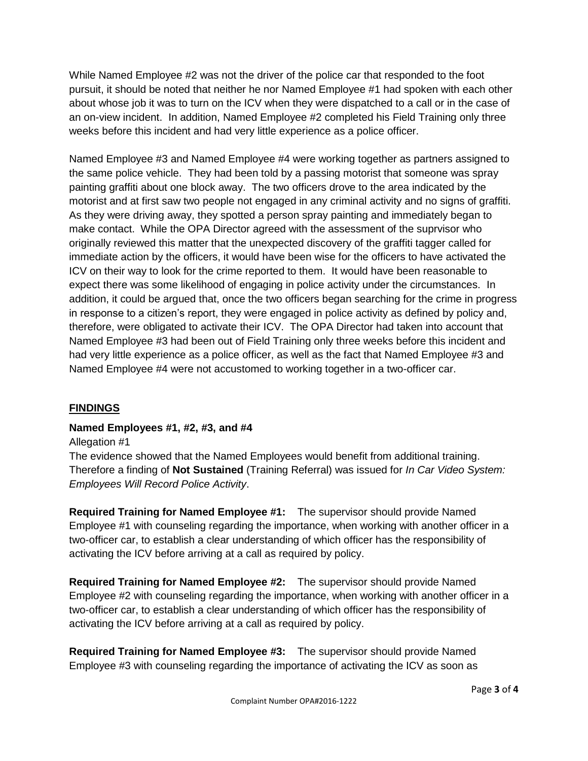While Named Employee #2 was not the driver of the police car that responded to the foot pursuit, it should be noted that neither he nor Named Employee #1 had spoken with each other about whose job it was to turn on the ICV when they were dispatched to a call or in the case of an on-view incident. In addition, Named Employee #2 completed his Field Training only three weeks before this incident and had very little experience as a police officer.

Named Employee #3 and Named Employee #4 were working together as partners assigned to the same police vehicle. They had been told by a passing motorist that someone was spray painting graffiti about one block away. The two officers drove to the area indicated by the motorist and at first saw two people not engaged in any criminal activity and no signs of graffiti. As they were driving away, they spotted a person spray painting and immediately began to make contact. While the OPA Director agreed with the assessment of the suprvisor who originally reviewed this matter that the unexpected discovery of the graffiti tagger called for immediate action by the officers, it would have been wise for the officers to have activated the ICV on their way to look for the crime reported to them. It would have been reasonable to expect there was some likelihood of engaging in police activity under the circumstances. In addition, it could be argued that, once the two officers began searching for the crime in progress in response to a citizen's report, they were engaged in police activity as defined by policy and, therefore, were obligated to activate their ICV. The OPA Director had taken into account that Named Employee #3 had been out of Field Training only three weeks before this incident and had very little experience as a police officer, as well as the fact that Named Employee #3 and Named Employee #4 were not accustomed to working together in a two-officer car.

## **FINDINGS**

## **Named Employees #1, #2, #3, and #4**

#### Allegation #1

The evidence showed that the Named Employees would benefit from additional training. Therefore a finding of **Not Sustained** (Training Referral) was issued for *In Car Video System: Employees Will Record Police Activity*.

**Required Training for Named Employee #1:** The supervisor should provide Named Employee #1 with counseling regarding the importance, when working with another officer in a two-officer car, to establish a clear understanding of which officer has the responsibility of activating the ICV before arriving at a call as required by policy.

**Required Training for Named Employee #2:** The supervisor should provide Named Employee #2 with counseling regarding the importance, when working with another officer in a two-officer car, to establish a clear understanding of which officer has the responsibility of activating the ICV before arriving at a call as required by policy.

**Required Training for Named Employee #3:** The supervisor should provide Named Employee #3 with counseling regarding the importance of activating the ICV as soon as